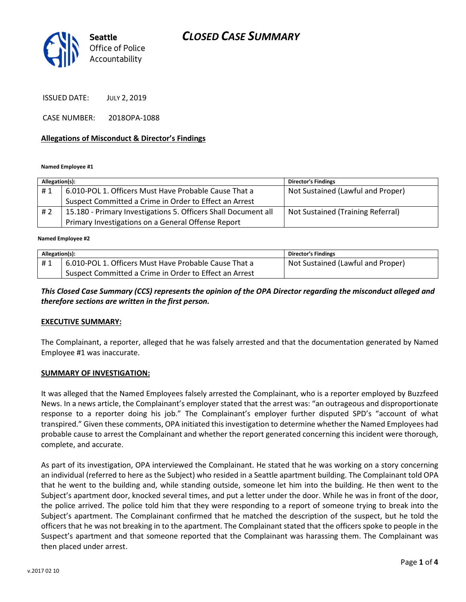## CLOSED CASE SUMMARY



ISSUED DATE: JULY 2, 2019

CASE NUMBER: 2018OPA-1088

#### Allegations of Misconduct & Director's Findings

Named Employee #1

| Allegation(s): |                                                                | <b>Director's Findings</b>        |
|----------------|----------------------------------------------------------------|-----------------------------------|
| #1             | 6.010-POL 1. Officers Must Have Probable Cause That a          | Not Sustained (Lawful and Proper) |
|                | Suspect Committed a Crime in Order to Effect an Arrest         |                                   |
| #2             | 15.180 - Primary Investigations 5. Officers Shall Document all | Not Sustained (Training Referral) |
|                | Primary Investigations on a General Offense Report             |                                   |

Ï Named Employee #2

| Allegation(s): |                                                        | Director's Findings               |
|----------------|--------------------------------------------------------|-----------------------------------|
| #1             | 6.010-POL 1. Officers Must Have Probable Cause That a  | Not Sustained (Lawful and Proper) |
|                | Suspect Committed a Crime in Order to Effect an Arrest |                                   |

#### This Closed Case Summary (CCS) represents the opinion of the OPA Director regarding the misconduct alleged and therefore sections are written in the first person.

#### EXECUTIVE SUMMARY:

The Complainant, a reporter, alleged that he was falsely arrested and that the documentation generated by Named Employee #1 was inaccurate.

#### SUMMARY OF INVESTIGATION:

It was alleged that the Named Employees falsely arrested the Complainant, who is a reporter employed by Buzzfeed News. In a news article, the Complainant's employer stated that the arrest was: "an outrageous and disproportionate response to a reporter doing his job." The Complainant's employer further disputed SPD's "account of what transpired." Given these comments, OPA initiated this investigation to determine whether the Named Employees had probable cause to arrest the Complainant and whether the report generated concerning this incident were thorough, complete, and accurate.

As part of its investigation, OPA interviewed the Complainant. He stated that he was working on a story concerning an individual (referred to here as the Subject) who resided in a Seattle apartment building. The Complainant told OPA that he went to the building and, while standing outside, someone let him into the building. He then went to the Subject's apartment door, knocked several times, and put a letter under the door. While he was in front of the door, the police arrived. The police told him that they were responding to a report of someone trying to break into the Subject's apartment. The Complainant confirmed that he matched the description of the suspect, but he told the officers that he was not breaking in to the apartment. The Complainant stated that the officers spoke to people in the Suspect's apartment and that someone reported that the Complainant was harassing them. The Complainant was then placed under arrest.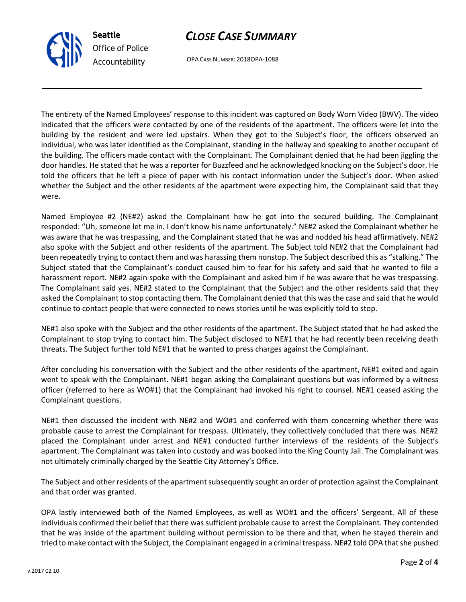and that order was granted.

OPA lastly interviewed both of the Named Employees, as well as WO#1 and the officers' Sergeant. All of these individuals confirmed their belief that there was sufficient probable cause to arrest the Complainant. They contended that he was inside of the apartment building without permission to be there and that, when he stayed therein and tried to make contact with the Subject, the Complainant engaged in a criminal trespass. NE#2 told OPA that she pushed

The Subject and other residents of the apartment subsequently sought an order of protection against the Complainant

v.2017 02 10

# CLOSE CASE SUMMARY

OPA CASE NUMBER: 2018OPA-1088

The entirety of the Named Employees' response to this incident was captured on Body Worn Video (BWV). The video indicated that the officers were contacted by one of the residents of the apartment. The officers were let into the building by the resident and were led upstairs. When they got to the Subject's floor, the officers observed an individual, who was later identified as the Complainant, standing in the hallway and speaking to another occupant of the building. The officers made contact with the Complainant. The Complainant denied that he had been jiggling the door handles. He stated that he was a reporter for Buzzfeed and he acknowledged knocking on the Subject's door. He told the officers that he left a piece of paper with his contact information under the Subject's door. When asked whether the Subject and the other residents of the apartment were expecting him, the Complainant said that they were.

Named Employee #2 (NE#2) asked the Complainant how he got into the secured building. The Complainant responded: "Uh, someone let me in. I don't know his name unfortunately." NE#2 asked the Complainant whether he was aware that he was trespassing, and the Complainant stated that he was and nodded his head affirmatively. NE#2 also spoke with the Subject and other residents of the apartment. The Subject told NE#2 that the Complainant had been repeatedly trying to contact them and was harassing them nonstop. The Subject described this as "stalking." The Subject stated that the Complainant's conduct caused him to fear for his safety and said that he wanted to file a harassment report. NE#2 again spoke with the Complainant and asked him if he was aware that he was trespassing. The Complainant said yes. NE#2 stated to the Complainant that the Subject and the other residents said that they asked the Complainant to stop contacting them. The Complainant denied that this was the case and said that he would continue to contact people that were connected to news stories until he was explicitly told to stop.

NE#1 also spoke with the Subject and the other residents of the apartment. The Subject stated that he had asked the Complainant to stop trying to contact him. The Subject disclosed to NE#1 that he had recently been receiving death threats. The Subject further told NE#1 that he wanted to press charges against the Complainant.

After concluding his conversation with the Subject and the other residents of the apartment, NE#1 exited and again went to speak with the Complainant. NE#1 began asking the Complainant questions but was informed by a witness officer (referred to here as WO#1) that the Complainant had invoked his right to counsel. NE#1 ceased asking the Complainant questions.

NE#1 then discussed the incident with NE#2 and WO#1 and conferred with them concerning whether there was probable cause to arrest the Complainant for trespass. Ultimately, they collectively concluded that there was. NE#2 placed the Complainant under arrest and NE#1 conducted further interviews of the residents of the Subject's apartment. The Complainant was taken into custody and was booked into the King County Jail. The Complainant was not ultimately criminally charged by the Seattle City Attorney's Office.



Seattle Office of Police Accountability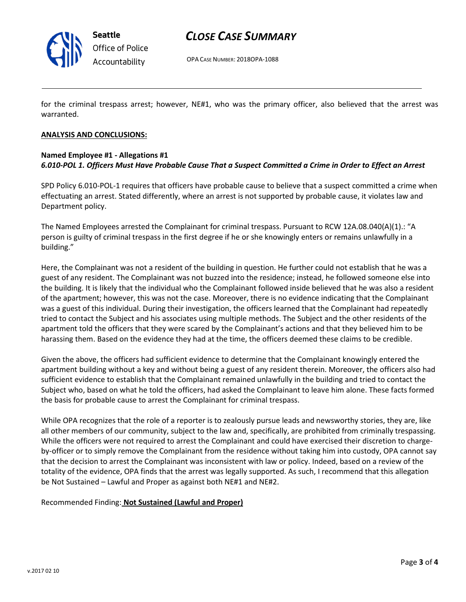

Seattle Office of Police Accountability

## CLOSE CASE SUMMARY

OPA CASE NUMBER: 2018OPA-1088

for the criminal trespass arrest; however, NE#1, who was the primary officer, also believed that the arrest was warranted.

#### ANALYSIS AND CONCLUSIONS:

### Named Employee #1 - Allegations #1 6.010-POL 1. Officers Must Have Probable Cause That a Suspect Committed a Crime in Order to Effect an Arrest

SPD Policy 6.010-POL-1 requires that officers have probable cause to believe that a suspect committed a crime when effectuating an arrest. Stated differently, where an arrest is not supported by probable cause, it violates law and Department policy.

The Named Employees arrested the Complainant for criminal trespass. Pursuant to RCW 12A.08.040(A)(1).: "A person is guilty of criminal trespass in the first degree if he or she knowingly enters or remains unlawfully in a building."

Here, the Complainant was not a resident of the building in question. He further could not establish that he was a guest of any resident. The Complainant was not buzzed into the residence; instead, he followed someone else into the building. It is likely that the individual who the Complainant followed inside believed that he was also a resident of the apartment; however, this was not the case. Moreover, there is no evidence indicating that the Complainant was a guest of this individual. During their investigation, the officers learned that the Complainant had repeatedly tried to contact the Subject and his associates using multiple methods. The Subject and the other residents of the apartment told the officers that they were scared by the Complainant's actions and that they believed him to be harassing them. Based on the evidence they had at the time, the officers deemed these claims to be credible.

Given the above, the officers had sufficient evidence to determine that the Complainant knowingly entered the apartment building without a key and without being a guest of any resident therein. Moreover, the officers also had sufficient evidence to establish that the Complainant remained unlawfully in the building and tried to contact the Subject who, based on what he told the officers, had asked the Complainant to leave him alone. These facts formed the basis for probable cause to arrest the Complainant for criminal trespass.

While OPA recognizes that the role of a reporter is to zealously pursue leads and newsworthy stories, they are, like all other members of our community, subject to the law and, specifically, are prohibited from criminally trespassing. While the officers were not required to arrest the Complainant and could have exercised their discretion to chargeby-officer or to simply remove the Complainant from the residence without taking him into custody, OPA cannot say that the decision to arrest the Complainant was inconsistent with law or policy. Indeed, based on a review of the totality of the evidence, OPA finds that the arrest was legally supported. As such, I recommend that this allegation be Not Sustained – Lawful and Proper as against both NE#1 and NE#2.

#### Recommended Finding: Not Sustained (Lawful and Proper)